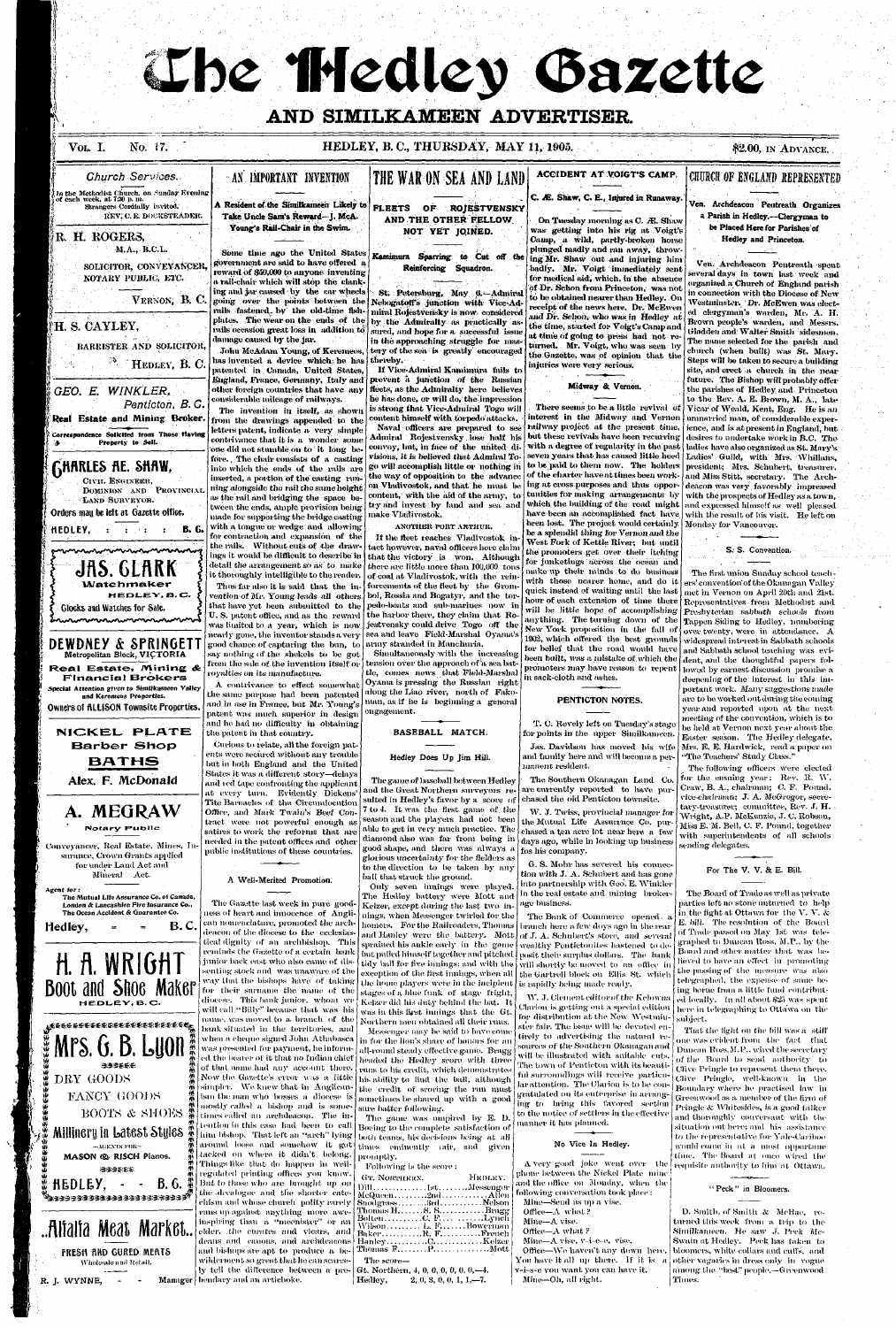# The Hedley Bazette

# **fk AND SIMILKAMEEN ADVERTISER.**

## **VOL.** I. No. 17.

### o. 17. **HEDLEY, B. C, THURSDAY, MAY 11, 1905. \$2.00,** IN ADVANCE.

# . • *Church Services.*

In the Methodist Church, on Sunday Kicning of each week, at 7:110 p. m. Strangers Cordially Invited. **KEY: C. E. DOCKSTEADRR.** 

FLEETS OF ROIESTVENSKY **AND THE OTHER FELLOW NOT YET JOINED.** 

#### **rt-<sup>1</sup>**R. **H.** ROGERS, M.A., B.C.L.

SOLICITOR, CON VEVANCEH, NOTARY PUBLIC;, ETC.

VERNON, B. C

# **IH. S. CAYLEY,**

Correspondence Solicited from Those Having Property to Sell. **|j\_ \_ \_\_ ; . .** 

# **GHARLES AE. SHAW,**

. CIVIT. ENGINEER , DOMINION AND PROVINCIAL. LAND SURVEYOR.

Orders may be left at Gazette office.

**A Resident of the Similkameen Likely to**  Take Uncle Sam's Reward-J. McA. **Young's Rail-Chair in the Swim.** 

Some time ago the United States government are said to have offered  $\,$  a reward of \$50,000 to anyone inventing a rail-chair which will stop the clanking and jar caused by the car wheels

# THE WAR ON SEA AND LAND

**ACCIDENT AT VOIGT'S CAMP.** 

#### **DEWDNEY** & SPRINGET **Metropolitan Block, VICTORIA Real Estate, Mining & Financial Brokers** Special Attention given to Similkameen Valley and Keremeos Properties. Owners of ALLISON Townsite Properties.

**AN IMPORTANT INVENTION** 

# **C.** *JE.* **Shaw, C. E., Injured in Runaway.**

BARRISTER AND SOLICITOR,

<sup>33</sup>. HEDLEY, B. C.

Conveyancer, Real Estate, Mines, Insurance, Crown Grants applied for under Land Act and Mineral Act.

### **W**  *GEO. E. WINKLER, Pentictoh, B.C.*  **Real Estate and Mining Broker.**

going over the points between the rails fastened by the old-time fishplates. The wear on the ends of the rails occasion great-loss in addition to damage caused by the jar. John McAdam Young, of Keremeos,



has invented a device which he has patented in Canada, United States, England, France, Germany, Italy and other foreign countries that have any considerable mileage of railways.

The invention in itself, as shown from the drawings appended to the letters patent, indicate a very simple contrivance that it is a wonder some one did not stumble on to it long before. , The chair consists of a casting into which the ends of the rails are inserted, a portion of the casting running alongside the rail the same height as the rail and bridging the space between the ends, ample provision being made for supporting the bridge casting with a tongue or wedge and allowing for contraction and expansion of the the rails. Without cuts of the drawings it would be difficult to describe in detail the arrangement so as to make it thoroughly intelligible to the reader. Thus far also it is said that the in-

**Alex. F. McDonald** 

# A. MEGRAW Notary Public

that have yet been submitted to the U. S. patent office, and as the reward was limited to a year, which is now nearly gone, the inventor stands a very good chance.of capturing the bun, to say nothing of the shekels to be got from the sale of, the invention itself or royalties on its manufacture.

A contrivance to effect somewhat the same purpose had been patented and in use in France, but Mr. Young's patent was much superior in design and he had no difficulty in obtaining the patent in that country. Curious to relate, all the foreign patents were secured without any trouble but in both England and the United States it was a different story—delays and red tape confronting the applicant at every turn. Evidently Dickens' Tite Barnacles of the Circumlocution Office, and Mark Twain's Beef Contract were not powerful enough as satires to work the reforms that are needed in the patent offices and other public institutions of these countries.

St. Petersburg, May 6.-Admiral Nebogatoff's junction with Vice-Admiral Rojestvensky is now, considered by the Admiralty as practically assured, and hope for a successful issue in the approaching struggle for mastery of the sea is greatly encouraged thereby.

If Vice-Admiral Kamimura fails to prevent a junction of the Russian fleets, as the Admiralty here believes lie has done, or will do, the impression is strong that Vice-Admiral Togo will content himself with torpedo attacks. Naval officers are prepared to see Admiral Rojestvensky , lose half his convoy, but, in face of the united divisions, it is believed that Admiral Togo will accomplish little or nothing iii the way of opposition to the advance on Vladivostok, and that he must be content, with the aid of the army, to try and invest by land and sea and make Vladivostok.

vention of Mr. Young leads all others boi, Rossia and Bogatyr, and the tor-If the fleet reaches Vladivostok intact however, naval officers here claim that the victory is won. Although there are little more than  $100,000$  tons of coal at Vladivostok, with the reinforcements of the fleet by the Grompedo-boats and sub-marines now in the harbor there, they claim that Rojestvensky could drive Togo off the sea and leave Field-Marshal Oyama's army stranded in Manchuria.

quick instead of waiting until the last met in Vernon on April 20th and 21st. hour of each extension of time there Representatives from Methodist and will be little hope of accomplishing Presbyterian sabbath schools from anything. The turning down of the  $T_{\text{appen}}$  Siding to Hedley, numbering 1902, which offered the best grounds widespread interest in Sabbath schools The first union Sunday school teachers' convention'of the Okanagan Valley, over twenty, were in attendance.  $\bm{A}$ dent, and the thoughtful papers followed by earnest discussion promise a deepening of the interest in this important work. Many suggestions made are to be worked out during the coming year and reported upon at the nextmeeting of the convention, which is to

**NICKEL PLATE Barber Shop BATHS** 

#### Kamimura Sparring to Cut *off* the Reinforcing Squadron.

 $\mathcal{L}$ eseeseekee@seekeekeekeekee *Mi*  **11 Mrs. G. B. Lyon**  its **m**   $\ddot{H}$  $\ddot{\bf{r}}$ 油油浸香色  $\bf x$  $\mathbb{Z}$ DRY GOODS  $\mathcal{L}$ vb  $\mathcal{P}$ FANCY GOODS  $\bm{w}$ BOOTS & SHOES vl/  $\bf u$ vt/ Millinery in Latest. Styles §  $-$ **MGENTS FOR***it) &*  MASON *(§b* RISCH Pianos. *\ii Hi*  H333&&S *\l)*  **ito H&DL&Y, - - B.6.**  *if) \l)*  \*»333333333333333333:-33 33\* \*

#### **ANOTHER PORT ARTHUR.**

The game of baseball between Hedley and the Great Northern surveyors resulted in Hedley's favor by a score of 7 to 4. It was the first game. of. the season and the players had not been able to get in very much practice. The. diamond also was far from being in good shape, and there was always a glorious uncertainty for the fielders as to the direction to be taken by any ball that struck the ground.

On Tuesday morning as C. *JE.* Shaw was getting into his rig at Voigt's Camp, a wild, partly-broken horse plunged madly and ran away, throwing Mr. Shaw out and injuring him badly. Mr. Voigt immediately sent for medical aid, which, in the absence of Dr. Schon from Princeton, was not to be obtained nearer than Hedley. On receipt of the news here. Dr. McEwen and Dr. Schon, who was in Hedley at the time, started for Voigt's Camp and at time of going to press had not returned. Mr. Voigt, who was seen by the Gazette, was of opinion that the injuries were very serious.

# **CHURCH OF ENGLAND REPRESENTED**

Ven. Archdeacon Pentreath Organizes a Parish in Hedley.—Clergyman to be Placed Here for Parishes of Hedley and Princeton.

but these revivals have been recurring desires to undertake work in B.C. The with a degree of regularity in the past ladies have also organized as St. Mary's seven years that has caused little heed [Ladies' Guild, with Mrs. Whillans, to be paid to them now. The holders president: Mrs. Schubert, treasurer, of the charter have at times been work- and Miss Stitt, secretary. The Archinga t cross purposes and thus oppor-deacon was very favorably impressed  $t$ unities for making arrangements by with the prospects of Hedley as a town which the building of the road might and expressed himself as well pleased have been an accomplished fact have with the result of his visit. He left on Ven. Archdeacon Pentreath spent everal days in town last week and organized a Church of England parish in connection with the Diocese of New Westminster. Dr. McEwen was elected clergyman's warden, Mr. A. H. Brown people's warden, and Messrs. Gladden and Walter Smith sidesmen. The name selected for the parish and church (when built) was St. Mary. Steps will be taken to secure a building site, and erect a church in the nearfuture. The Bishop will probably offer the parishes of Hedley. and Princeton to the Rev. A. E. Brown, M. A., late Vicar of Weald. Kent, Eng. He is an unmarried man, of considerable experience, and is at present in England, but

# Midway & Vernon.

There seems to be a little revival of interest in the Midway and Vernon railway project at the present time, been lost. The project would certainly Monday for Vancouver. he a splendid thing for Vernon and the West Fork of Kettle River; but until the promoters get over their itching for iunketings across the ocean and make up their minds to do business with those nearer home, and do it New York proposition in the fall of for belief that the road would have  $\vert$  and Sabbath school teaching was evibeen built, was a mistake of which the promoters may have reason to repent

The game was umpired by E. D. Boeing to the complete satisfaction of both teams, his decisions being at all times eminently rair, and given promptly.

Following is the score : GT. NORTHERN. Dill..................Ist..........Messenger McQueen . . . . . . . . . 2nd . ..Srd..  $\min_{\mathbf{S}} \mathbf{H}, \ldots, \mathbf{S}, \mathbf{S}, \ldots, \ldots, \mathbf{B}$ ragg Bolten............C. F.... ...<sub>..</sub>....Lynch HEDLEY . Allen Snotlgrass..........Brd.............Nelson Wilson . . . . . . . . . L. F. . . . . . . Bowerman  ${\rm Baker.} \ldots \ldots \ldots {\rm R.\ F.} \ldots \ldots \ldots \ldots {\rm French}$  $\operatorname{Hanky}, \ldots, \ldots, \operatorname{C}, \ldots, \ldots, \ldots, \operatorname{Kekzer}$ Thomas  $F_1, \ldots, F_n, \ldots, \ldots, M$ ott The score— Gt. Northern, 4, 0, 0, 0, 0, 0, 0, -4.

Hedley, 2, 0, 3, 0, 0, 1, 1, -7.

Jas. Davidson has moved his wife and family here and will become a permanent resident.

W. J. Twiss, provincial manager for the Mutual Life. Assurrnce Co. purchased a ten acre lot near here, a few days ago, while in looking up business fos his company.

and Hanley were the battery. Mott of J. A. Schubert's store, and several but pulled himself together and pitched  $\vert$  posit their surplus dollars. The -bank tidy ball for five innings; and with the will shortly be moved to an office in exception of the first innings, when all  $\vert$  the Gartrell block on -Ellis–St. -which The Bank of Commerce opened- a branch here a few doys ago in the rear wealthy Pentictonites hastened to de-

> W. J. Clement editor of the Kelowua Clarion is getting out a special edition for distribution at the New Westmin-

ster fair. The issue will be devoted entirely to advertising the natural resources of the Southern Okanagan and will be illustrated with suitable cuts. The town of Penticton with its beautiful surroundings will receive particular-attention. The Clarion is to be congratulated on its enterprise in arranging to bring this favored section to the notice of settlers in the effective manner it has planned.

Simultaneously with the increasing tension over the approach of  $\lambda$  sea battle, comes news that Field-Marshal Oyama is pressing the Russian right along the Liao river, north of Fakoman, as if he is beginning a general engagement. in sack-cloth and ashes.

> be held at Vernon next year about the Easter season. The Hedley delegate, Mrs. E. E. Hardwick, read a paper on "The. Teachers' Study Class."

A very good joke went over the phone between the Nickel Plate mine and the office on Monday, when the following conversation took place : Mine—Send us up a vise. Office—A what ? Mine—A vise. Office— $A$  what ? Mine—A vise, v-i-e-e, vise. Office—We haven't any down here, You have it all up there. If it is a v-i-s-e you want you can have it. Mine—Oh, all right.

# S; S. Convention.

D. Smith, of Smith  $\&$  McRae, returned this week from a. trip to the Similkameen. He saw J. Peck Mc-Swain at Hedley. Peck has taken to bloomers, white collars and cuffs, and other vagaries in dress only  $\,$  in  $\,$  vogue  $\,$ among the "best" people.-Greenwood Times.

BASEBALL MATCH.

Hedley Does Up Jim Hill.

#### PENTICTON NOTES.

T. C. Revely left on Tuesday's stage for points in the upper Similkameen.

Agent for: The Mutual Life Assurance Co. of Canada, London & Lancashire Fire Insurance Co., The Ocean Accident & Guarantee Co.

Hedley,  $\equiv$   $\equiv$  B.C.

**ft ft WRIGHT Boot and SHoe Maker** 

#### A Well-Merited Promotion.

The Gazette last week in pure goodness of heart and innocence-of-  $\boldsymbol{\mathrm{Angle}}$ can nomenclature, promoted the archdeacon of the diocese to the ecclesiastical dignity of an archbishop. This reminds the Gazette of a certain bank junior back east who also came of dissenting stock and was unaware of the way that the bishops have of taking for their surname the name of the diocese. This bank junior, whom we will call,"Billy" because that was his name, was moved to a. branch of the bank situated in the territories, and when a cheque signed John Athabasca was presented for payment, be informed the bearer of it that no Indian chief of that name had any account there. Now the Gazette's error was a little simpler. We knew that in Anglicanism the man who bosses a diocese is mostly called a bishop and is sometimes called an archdeacon. The intention in this case had been to call him bishop. That left an "arch" lying around loose, and somehow it got tacked on where it didn't belong. Things like that do happen in wellregulated printing offices you know. But to those who are brought up on the -decalogue and the shorter catechism and whose church polity rarely runs up against -anything -more -aweinspiring than a "meenister" when elder, the curates and distinguishment and elder, the curates and vicars, and deans and canons, and archdeacons

and bishops are apt to produce a bewilderment so great that he can scarceby tell the difference between a pre-



R. J. WYNNE,  $\qquad$  - Manager bendary and an artichoke.

Only seven innings were played. The Hedley battery were Mott and Kelzer, except during the last two innings, when Messenger twirled for the homers. For the Railroaders, Thomas sprained his ankle early in the game the home players were in the incipient is rapidly being made ready. stages of a blue funk of stage fright, Kelzer did his duty behind the bat. Tt was in this first innings that the Gt. Northern men obtained all their runs. Messenger may be said to have come in for the lion's share of honors for an all-round steady effective game. Bragg headed the Hedley score with three runs to his credit, which demonstrates his ability to find the ball, although the credit of scoring the run must sometimes be shared up with a good sure batter following.

The Southern Okanagan Land **Co.**  are currently reported to have purchased the old Penticton townsite.

G. S. Mohr has severed his connection with J. A. Schubert and has gone into partnership with Geo. E. Winkler in the real estate and mining brokerage business.

The following officers were elected for the ensuing year: Rev. R. W. Ciaw, B. A., chairman: C. F. Pound, vice-chairman; J. A. McGregor, secretary-treasurer; committee, Rev. J. H. • Wright, A.P. McKenzie, J. C. Robson, Miss E. M. Bell, C. F. Pound, together with superintendents of all schools sending delegates.

#### For The V. V. & E. Bill.

#### No Vice In Hedley.

The Board of Trade as well as private parties left no stone unturned to help in the fight-at Ottawa for the V. V.  $\&$ E. bill. The resolution of the Board of Trade passed ou May 1st was telegraphed to Duncan Ross, M.P., by the Board and other matter that was believed to have an effect in promoting the passing of the measure was also telegraphed, the; expense of same being borne from a little fund contributed locally. In all about \$25 was spent here in telegraphing to Ottawa on the subject.

That the fight on the bill was a stiff one was evident from  $\,$  the  $\,$  fact  $\,$  that Duncan Ross,M. P., wired the secretary of the Board to send authority to Clive Pringle to represent them there. Olive Pringle, well-known in the Boundary where he practised law in Greenwood as a member of the firm of Pringle & Whitesides, is a good talker and thoroughly conversant with the situation out here: and his assistance to the representative for Yale-Cariboo would come in at a most opportune time. The Board at once wired the requisite authority to him at Ottawa.

#### "Peck " in Bloomers.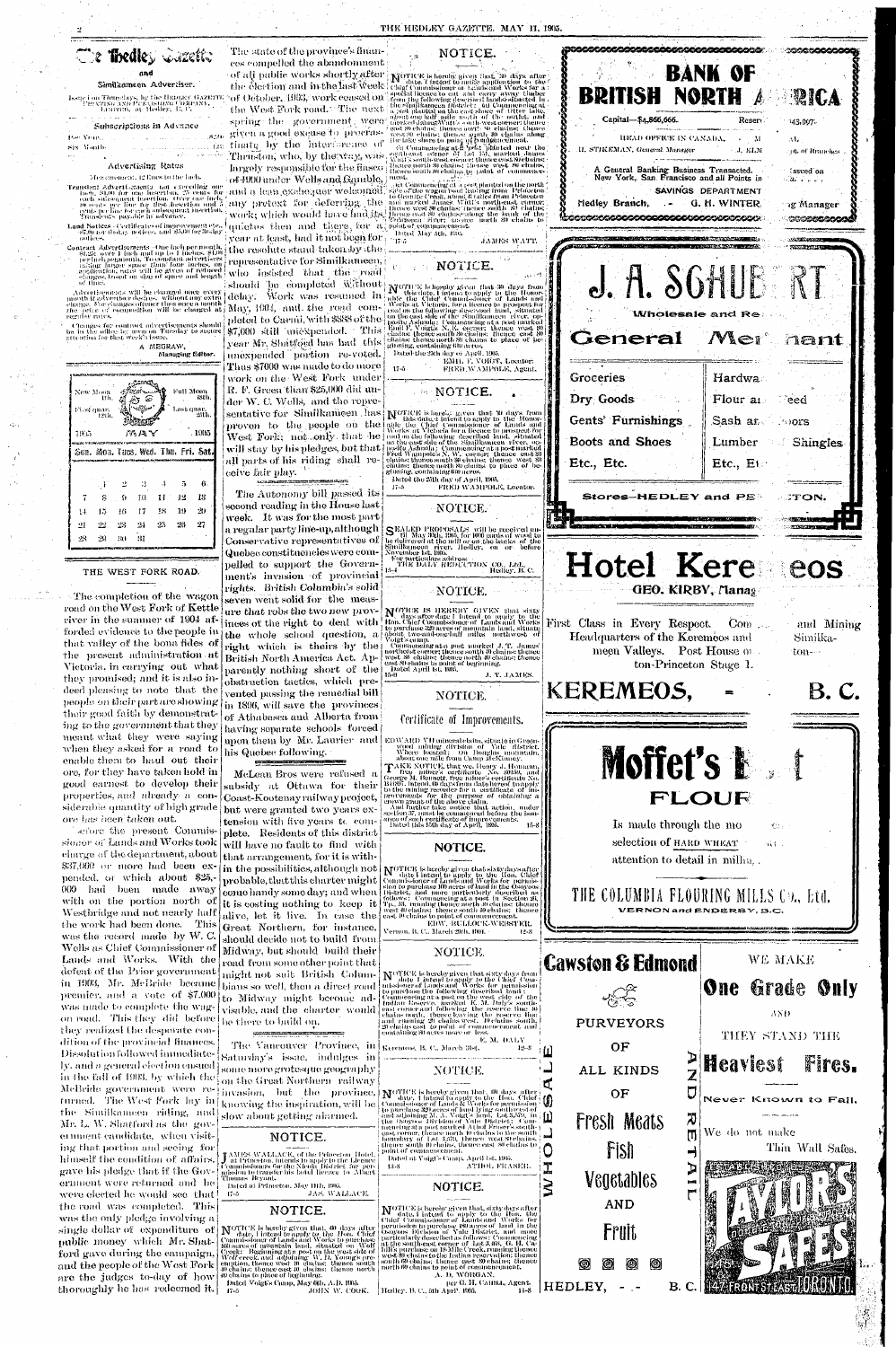# The Thedley Cancity

#### Similkameen Advertiser.

Issue i on Thursdays, by the Highday GAZETTE.<br>PHENTING AND PUTCLISHING COMPANY, LABITED, [01] Heddey, [1], C.

#### Subscriptions in Advance

#### Por Year. T.CO Six Month

#### Advertising Rates

#### Mes carencert, 12 lines to the inch-

- Translent Advertisements not execciting one missed: SL00 for one insertion, 25 eents for<br>each subsequent insertion. Over one inclu<br>each subsequent insertion. Over one inclu<br> $\mu$  oents per line for each subsequent insertion.<br>eints per line to each subsequent insertio
- **Land Notices** . Certificates of improvement etc.<br> $\frac{37.00 \text{ nm}}{100 \text{ dex}}$  (field) notices, and  $\frac{35.00 \text{ nm}}{100 \text{ dex}}$

Contract Advertisements - One high permonth,<br>St.25: over 1 inch and up to 1 inclus, \$4,00<br>perincipenmonts, To constant advertisers<br>raising larger space *than' four incluse, on*<br>application, rates will be given of reduced<br>c of time.

Advertisements will be changed once every<br>mouth if advertiser desires, without any extra<br>charge. For clanges oftener than once a month<br>the price of composition will be charged at regular rates.

Changes for contract advertisements should<br>be in the office by agon on Tuesday to secure<br>attention for that week's issue.



THE WEST FORK ROAD.

-31

 $29$ 

 $-30$ 

The completion of the wagor road on the West Fork of Kettle river in the summer of 1904 afforded evidence to the people in that valley of the bona fides of the present administration at Victoria, in carrying out what they promised; and it is also indeed pleasing to note that the people on their part are showing their good faith by demonstrating to the government that they meant what they were saying when they asked for a road to enable them to haul out their ore, for they have taken hold in good earnest to develop their properties, and already a considerable quantity of high grade ore has been taken out. afore the present Commissioner of Lands and Works took charge of the department, about \$37,000 or more had been expended, or which about \$25, 000 had been made away with on the portion north of Westbridge and not nearly half the work had been done. This was the record made by W.C. Wells as Chief Commissioner of Lands and Works. With the defeat of the Prior government in 1903, Mr. McBride became premier, and a vote of \$7,000 was made to complete the wagon road. This they did before they realized the desporate condition of the provincial finances. Dissolution followed immediately, and a general election ensued in the fall of 1903, by which the McBride government were re-<br>
turned. The West Fork lay in knowing the inspiration, will be commissioner of Lands & Works for permission<br>
the Similkanneen riding, and some spiration, will be denoted to the fluct of the Simi ing that portion and seeing for himself the condition of affairs. gave his pledge that if the Government were returned and he were elected he would see that the road was completed. This was the only pledge involving a single dollar of expenditure of Northers is been given that, 60 days after<br>public money which Mr. Shat-<br>formissioner of Lands and Works to purchase<br>ford gave during the campaign,  $\begin{array}{l}\n\text{Commissioner of Lands and Works to purchase}\n\text{for all the people of the West Fork}\n\end{array}$ are the judges to-day of how thoroughly he has redeemed it.

The state of the province's finances compelled the abandonment of all pablic works shortly after the election and in the last week °of October, 1903, work ceased on" the West Fork road. The next spring the government were given a good excuse to procrastinate by the interforence of Thruston, who, by the way, was, largely responsible for the flasco of 1990 under Wells and Gauble, meat

year at least, had it not been for  $\frac{1}{17.5}$ 

the resolute stand taken by the representative for Similkarneen, who jasisted that the road

May, 1904, and the road completed to Carnii, with \$888 of the \$7,000 still unexpended. This year Mr. Shatfogd has had this

unexpended portion re-voted. Thus \$7000 was made to do more work on the West Fork under R. F. Green than \$25,000 did under W. C. Wells, and the repre-

proven to the people on the

The Autonomy bill passed its second reading in the House last week. It was for the most part a regular party line-up, although Conservative representatives of Quebec constituencies were compelled to support the Government's invasion of provincial rights. British Columbia's solid

seven went solid for the measare that robs the two new provinces of the right to deal with the whole school question, a right which is theirs by the British North America Act. Apparently nothing short of the obstruction tactics, which prevented passing the remedial bill in 1896, will save the provinces of Athabasca and Alberta from having separate schools forced

# NOTICE.

**NOTICE** is hereby given that, 30 days after<br>TV date, I intend to make application to the<br>Chief Commissioner or tands and Works for a<br>special licence to cut, and carry away thuber<br>from the following described haids?situate the Similson<br>on the concerning describes in the standard of the Similson<br>in a post planted on the cast shore of "Otter lake,<br>about one half infle north of the outlet, and<br>merked dumeral table outh-west corner thence<br>east 8

east of chains; thence is at the Bill and a share<br>the lake shore to point of companies the line of Commencing at the point of companies and the<br>continues of commencing at the point part of the sequitions of the sequitions heuce north 80 chains: thence | west | 80 chains. pence south 80 chaips. Iq point of communica-

and a lean exchequer welcomed. See of the wagen band leading from Princeton to the end a learner to deferring. the and marked hand that is not hence we as a state and the second behavior work; which would have find its in des Commencing at a post planted on the north-

Dated May 5th, 1962. JAMES WATT.

### NOTICE.

should be completed without Novice is hereby given that 30 days from delay: Work was resurred in M this date. I intend to apply to the Honor-<br>Move 1904, and the road com- Works at Victoria, for a licence to prospect for To arks at Victoria, for a ficerate to prospect for<br>the situated in the end of the state of the situated<br>from the east side of the Situalikanical Euch stated<br>behavior Ashnola: Commencing at a post marked<br>behavior Ashnola:

Dated the 25th day of April, 1905. EMIL F. VOIGT, Locator: FRED. WAMPOLE, Agent.

# NOTICE.

 $17 - 5$ 

sentative for Similkanieen has Nortes is bored, given that W days from<br>movem to the people on the able the Chief Commissioner of Lands and proven to the people on the sale the Chief Commissioner of Lands and<br>West Fork; not only that he was at retorion the conduction<br>will stay by his pledges, but that poste Ashnola ; Commencing at a postmarked<br>will stay by his

Dated the 25th day of April, 1905. FRED WAMPOLE, Locator.  $17 - 5$ 

NOTICE.

SEALED PROPOSALS will be received until May 30th, 1995, for 1000 cords of wood to be delivered at the mill or on the banks of the Similkameen viver, Hedley, on or before November 1st, 1995.

ovember ist, case<br>For particulars address<br>| THE DALY REDUCTION CO., Ltd.,<br>| THE DALY REDUCTION CO., Ltd.,

# NOTICE.

NOTICE IS HEREBY GIVEN that sixty **NOTICE IS HEREBY GIVEN that sixty**<br>
Hon. Chief Commissioner of Lands and West effect that the purchase 320 acres of mountain land, situate<br>
loont two-and-one-laft miles morthwest of<br>
Voigt's camp.<br>
(Commencing at a post m

J. T. JAMES.

# NOTICE.

# Certificate of Improvements.



his Quebec following.

McLean Bros were refused a subsidy at Ottawa for their Coast-Kootenayrailwayproject, but were granted two years extension with five years to com-

plete. Residents of this district will have no fault to find with that arrangement, for it is within the possibilities, although not probable, that this charter might come handy some day; and when it is costing nothing to  $\text{keep }$  it. alive, let it live. In case the Great Northern, for instance, should decide not to build from Midway, but should build their road from some other point that might not suit British Columbians so well, then a direct road to Midway might become advisable, and the charter would be there to build on.

The Vancouver Province, in Saturday's issue, indulges in some more grotesque geography on the Great Northern railway

J AMES WALLACE, of the Princeton Hotel,<br>Lat Princeton, intends to apply to the Licence<br>Commissioners for the Nicola District for per-<br>mission to transfer bis botel licence to Albert honnis Bryant Dated at Princeton, May 11th, 1965.

43-8

 $17 - 5$ JAS, WALLACE.

# NOTICE.

40 chains to place of heginning.

Dated Voigt's Camp, May 6th, A.D. 1905. JOHN W. COOK. Hedley, B. C., 5th April, 1995.

upon them by Mr. Laurier and EDWARD VII mineral claim, situate in Greenwood infiding division of Yale district.<br>Where located: On Douglas mountain,<br>about one mile from Camp McKinney.

TAKE NOTICE, that we Henry J. Homann Take solutions coefficate No. 30150, and<br>George M. Bounder's certificate No. 30150, and<br>George M. Bounett, free miner's certificate No.<br>B4887, intend, 60 days from date hereof toapply<br>to the number of the downstron of the

# NOTICE.

NOTICE is hereby given that sixty days after<br>Commissioner of Lands and Works for permission to purchase 10 acres of band in the Osoyoos<br>Bistrict, and more particularly described as<br>Follows: Commencing at a post in Section east 10 chains to point of commencement

EDW. BULLOCK-WEBSTER. Vernon, B. C., March 29th, 1901. -12-8

### NOTICE.

A. D. WORGAN,

per G. H. CAHILL, Agent.

 $11 - 8$ 

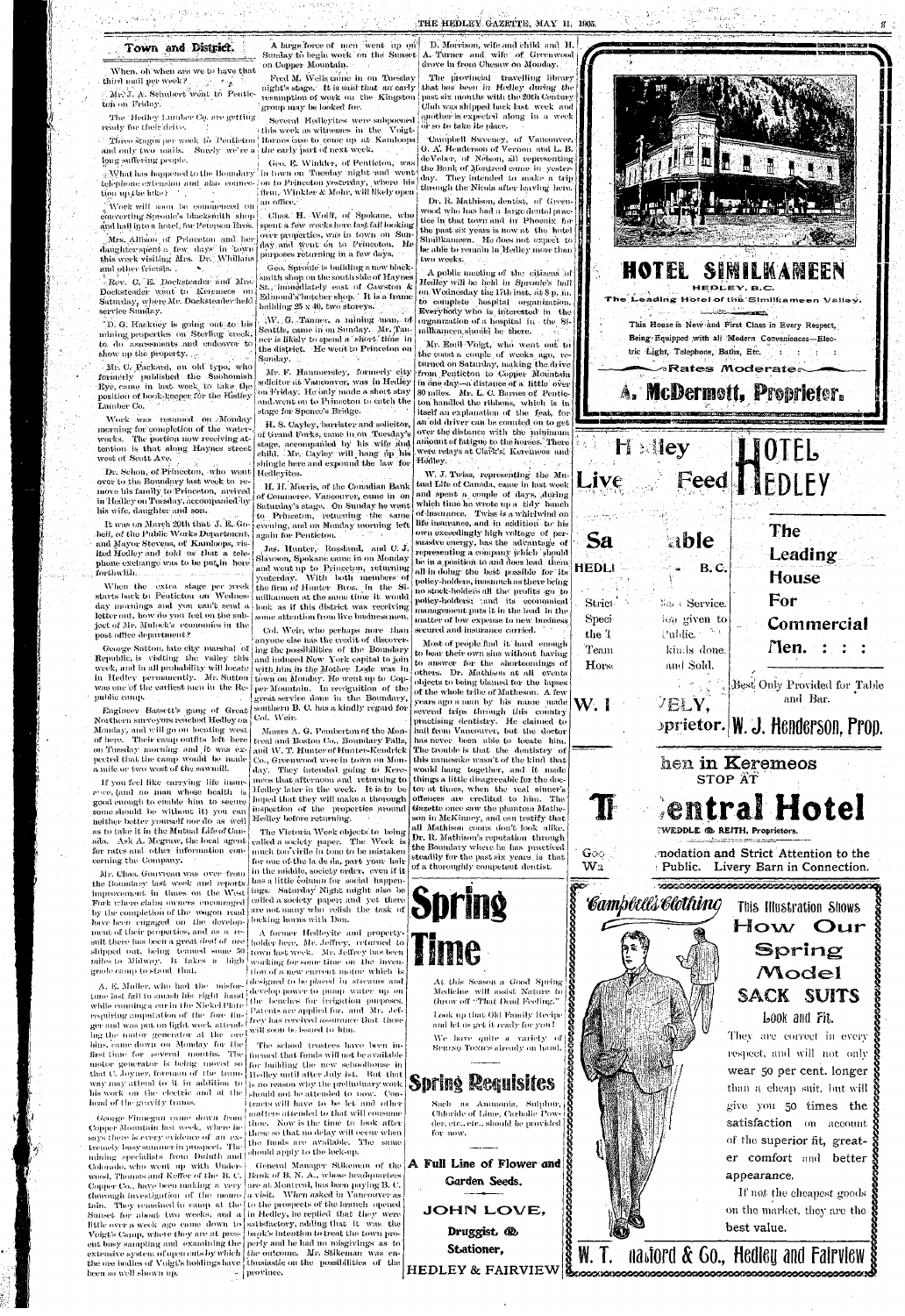# Town and District.

When, oh when are we to have that  $\mathcal{L}^{\text{max}}$  , where third mail per week?

Mr. J. A. Schubert went to Penticton on Friday.

The Hedley Lumber Co, are getting ready for their drive.

and only two mails. Surely we're a the early part of next week. long suffering people.

tion up the like.

Work will soon be commenced on converting Sproale's blacksmith shop. and hall into a hotel, for Peterson Bros.

Mrs. Allison of Princeton and her daughter spent a few days in town this week visiting Mrs. Dr. Whillans and other friends...

Rev. C. E. Docksteader and Mrs. Docksteader went to Keremeos on Saturday, where Mr. Docksteader held service Sunday.

D. G. Hackney is going out to his mining properties on Sterling creek, to do assessments and endeavor to show up the property.  $\mathbb{R}^n$ 

Mr. C. Packard, an old typo, who formerly published the Subhomish Eve came in last week to take the position of book-keeper for the Hedley Lumber Co.

Work was resumed on Monday morning for completion of the waterworks. The portion now receiving attention is that along Haynes street west of Scott Ave.

Dr. Schon, of Princeton, who went | Hedleyites. over to the Boundary last week to remove his family to Princeton, arrived in Hedley on Tuesday, accompanied by his wife, daughter and son.

It was on March 20th that J. E. Go bell, of the Public Works Department, and Mayor Stevens, of Kamloops, visited Hedley and told us that a telephone excludige was to be put in here forthwith. …

When the extra stage per week starts back to Penticton on Wednesday mornings and you can't send a look as if this district was receiving letter out, how do you feel on the subject of Mr. Mulock's economies in the post office department?

Republic, is visiting the valley this and induced New York capital to join week, and in all probability will locate in Hedley permanently. Mr. Sutton was one of the earliest men in the Republic camp.

Northern surveyors reached Hedley on Col. Weir. Monday, and will go on locating west of here. Their camp outfits left here on Tuesday morning and it was ex- and W. T. Hunter of Hunter-Kendrick | The trouble is that the dentistry of pected that the camp would be made a mile or two west of the sawmill.

A large force of men went up on Sunday to begin work on the Sunset on Copper Mountain.

Fred M. Wells came in on Tuesday night's stage. It is said that an early resumption of work on the Kingston group may be looked for.

Several Hedlevites were subpoened ) this week as witnesses in the Voigt-Three stages per week to Penticton Barnes case to come up at Kamloops

Geo. E. Winkler, of Penticton, was What has happened to the Boundary in town on Tuesday might and went telephone extension and also connection to Princeton yesterday, where his firm, Winkler & Mohr, will likely open

an office.

Chas. H. Wolff, of Spokane, who spent a few weeks here last fall looking over properties, was in town on Sunday and went on to Princeton. He purposes returning in a few days.

Geo. Sproule is building a new black smith shop on the south side of Havnes St., innnediately east of Cawston & Edmond's butcher shop. It is a frame building 25 x 40, two storeys.

MV. G. Tanner, a mining man, of Seattle, came in on Sunday. Mr. Tanner is likely to spend a "short," time "in the district. He went to Princeton on Sanday,

Mr. F. Hammersley, formerly city solicitor at Vancouver, was in Hedley on Friday. He only made a short stay and went on to Princeton to catch the stage for Spence's Bridge.

H. S. Cayley, barrister and solicitor, of Grand Forks, came in on Tuesday's stage, accompanied by his wife and child. Mr. Cayley will hang up his shingle here and expound the law for

H. H. Morris, of the Canadian Bank of Commerce, Vancouver, came in on Saturday's stage. On Sunday he went to Princeton, returning the same evening, and on Monday morning left again for Penticton.

Jas. Hunter, Rossland, and C. J. Slawson, Spokane came in on Monday and went up to Princeton, returning yesterday. With both members of the firm of Hunter Bros. in the Similkameen at the same time it would some attention from live business men.

Col. Weir, who perhaps nore than anyone else has the credit of discover-George Sutton, late city marshal of  $\vert$  ing the possibilities of the Boundary with him in the Mother Lode was in town on Monday. He went up to Copper Mountain. In recognition of the great service done in the Boundary, Engineer Bassett's gang of Great southern B. C. has a kindly regard for

D. Morrison, wife and child and H. A. Turner and wife of Greenwood drove in from Chesaw on Monday.

The provincial travelling library that has been in Hedley during the past six months with the 20th Century Club was shipped back last | week | and another is expected along in a week ôr so to take its place.

Campbell Sweeney, of Vancouver, G. A. Henderson of Vernon and L. B. deVeber, of Nelson, all representing the Bank of Montreal came in yesterday. They intended to make a trip through the Nicola after leaving here.

Dr. R. Mathison, dentist, of Greenwood who has had a large dental practice in that town and in Phoenix for the past six years is now at the botel Similkanieen. He does not expect to be able to remain in Hedley more than two weeks.

A public meeting of the citizens of Hedley will be held in Sproule's hall on Wednésday the 17th inst. at 8 p. m. to complete hospital organization. Everybody who is interested in the organization of a hospital in the Similkameen should be there.

Mr. Emil Voigt, who went out to the coast a couple of weeks ago, returned on Saturday, making the drive from Penticton to Copper Mountain in one day—a distance of a little over 80 miles. Mr. L. C. Barnes of Penticton handled the ribbons, which is in itself an explanation of the feat, for an old driver can be counted on to get over the distance with the minimum amount of fatigue to the horses. There were relays at Clark's, Keremees and Hédley.

W. J. Twiss, representing the Mutual Life of Canada, came in last week and spent a couple of days, during which time he wrote up a tidy bunch of insurance. Twiss is a whirlwind on life insurance, and in addition to his own exceedingly high voltage of persuasive energy, has the advantage of representing a company which should be in a position to and does lead them all in doing the best possible for its policy-holders, inasmuch as there being no stock-holders all the profits sgo to policy-holders; and its economical management puts it in the lead in the matter of low expense to new business secured and insurance carried.

Most of people find it hard enough to bear their own sins without having to answer for the shortcomings of others. Dr. Mathison at all events objects to being blamed for the lapses of the whole tribe of Matheson. A few years ago a man by his name made several trips through this country practising dentistry. He claimed to Mosses A. G. Pemberton of the Mon- [ hail from Vancouver, but the doctor treal and Boston Co., Boundary Falls, has never been able to locate him. this namesake wasn't of the kind that day. They intended going to Kere-{would hang together, and it made  $\mid$  meos that afternoon and -returning to  $\mid$  things a little disagreeable for the doc-Hedley later in the week. It is to be (to at times, when the real sinner's offences are credited to him. The Gazette once saw the phantom Matheson in McKinney, and can testify that all Mathison coons don't look alike. Dr. R. Mathison's reputation through the Boundary where he has practiced steadily for the past six years is that



If you feel like carrying life insurevee, (and no man whose health is good enough to enable him to secure some should be without it) you can neither better yourself nor do as well as to take it in the Mutual Life of Canada. Ask A. Megraw, the local agent for rates and other information concerning the Company.

Mr. Chas. Gouvreau was over from the Boundary last week and reports improvement in times on the West Fork where claim owners encouraged by the completion of the wagon road have been engaged on the development of their properties, and as a result there has been a great deal of ore shipped out, being teamed some 50 miles to Midway. It takes a high grade camp to stand that.

A. E. Muller, who had the misfortune last fall to smash his right hand while cuming a car in the Nickel Plate requiring amputation of the fore finger and was put on light work attending the motor generator at the ore will soon be issued to him. bins, came down on Monday for the first time for several months. The motor generator is being moved so for building the new schoolhouse in that C. Joyner, foreman of the train- Hedley until after July 1st. But that way may attend to it in addition to  $|$  is no reason why the preliminary work his work on the clectric and at the head of the gravity trains.

George Finnegan game down from Copper Mountain last week, where he says there is every evidence of an extremely busy summer in prospect. The mining specialists from Duluth and

Colorado, who went up with Underwood, Thomas and Keffer of the B. C. | Bank of B. N. A., whose headquarters Copper Co., have been making a very are at Montreal, has been paying B. C. thorough investigation of the moun- a visit. When asked in Vancouver as tain. They remained in camp at the | to the prospects of the branch opened Sunset for about two weeks, and a in Hedley, he replied that they were little over a week ago came down to satisfactory, adding that it was the Voigt's Camp, where they are at pres- bank's intention to treat the town proent basy sampling and examining the porty and he had no misgivings as to extensive system of open cuts by which | the outcome. Mr. Stikeman was enthe ore bodies of VoigUs holdings have | thusiastic on the possibilities of the been so well shown up.

Co., Greenwood were in town on Monhoped that they will make a thorough inspection of the properties around Hedley before returning.

The Victoria Week objects to being called a society paper. The Week is much too'virile in tone to be mistaken for one of the la de da, part your hair in the middle, society order, even if it has a little column for social happenings: Saturday Night might also be called a society paper; and yet there are not many who relish the task of locking horns with Don.

A former Hedleyite and propertyholder here, Mr. Jeffrey, returned to town last week. Mr. Jeffrey has been working for some time on the invention of a new current motor which is **Edesigned to be placed in streams and** develop power to pump water up on the benches for irrigation purposes. Patents are applied for, and Mr. Jeffrey has received assurance that these

The school trustees have been informed that funds will not be available should not be attended to now. Contracts will have to be let and other matters attended to that will consume time. Now is the time to look after these so that no delay will occur when the funds are available. The same should apply to the lock-up.

General Manager Stikeman of the A Full Line of Flower and  $\sim$  { province.



of a thoroughly competent dentist.

At this Season a Good Spring Medicine will assist Nature to throw off "That Dead Feeling."

Look up that Old Family Recipe and let us get it ready for you!

We have quite a variety of SPRING TONICS already on hand.

# **Spring Requisites**

Such as Annuonia, Sulphur, Chloride of Lime, Carbolic Powder, etc., etc., should be provided for now,

Garden Seeds.

JOHN LOVE,

Druggist. ® Stationer,

nastord & Go., Hedley and Fairview **HEDLEY & FAIRVIEW** 

Geo

 $\mathbf{W}\mathbf{a}$ 

hen in Keremeos

# STOP AT entral Hotel WEDDLE @ REITH, Proprietors. modation and Strict Attention to the : Public. Livery Barn in Connection. Campbells Clothing This Illustration Shows How Our Spring Model SACK SUITS Look and Fit. They are correct in every respect, and will not only wear 50 per cent. longer than a cheap suit, but will

give you 50 times the satisfaction on account of the superior fit, greater comfort and better appearance.

If not the cheapest goods on the market, they are the best value.